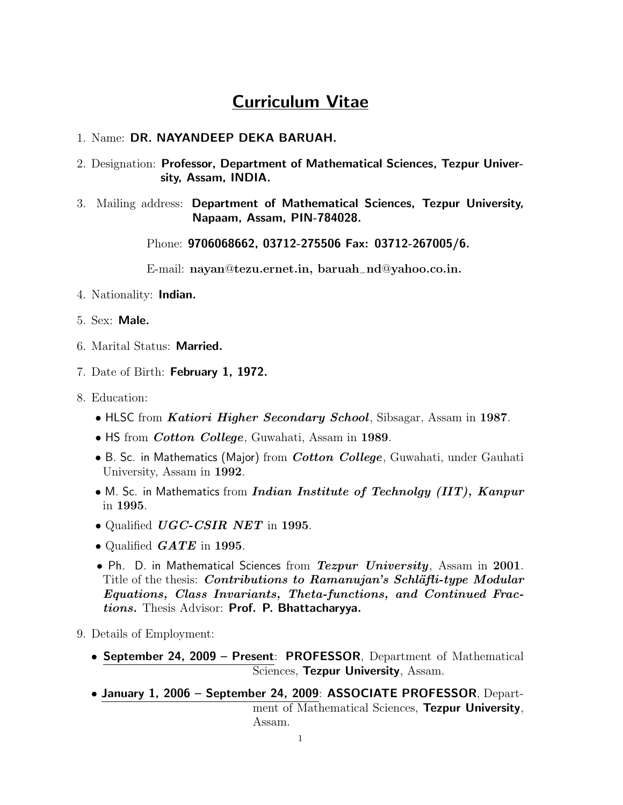# Curriculum Vitae

### 1. Name: DR. NAYANDEEP DEKA BARUAH.

- 2. Designation: Professor, Department of Mathematical Sciences, Tezpur University, Assam, INDIA.
- 3. Mailing address: Department of Mathematical Sciences, Tezpur University, Napaam, Assam, PIN-784028.

Phone: 9706068662, 03712-275506 Fax: 03712-267005/6.

E-mail: nayan@tezu.ernet.in, baruah−nd@yahoo.co.in.

- 4. Nationality: Indian.
- 5. Sex: Male.
- 6. Marital Status: Married.
- 7. Date of Birth: February 1, 1972.
- 8. Education:
	- HLSC from *Katiori Higher Secondary School*, Sibsagar, Assam in 1987.
	- HS from *Cotton College*, Guwahati, Assam in 1989.
	- B. Sc. in Mathematics (Major) from *Cotton College*, Guwahati, under Gauhati University, Assam in 1992.
	- M. Sc. in Mathematics from *Indian Institute of Technolgy (IIT)*,  $Kanpur$ in 1995.
	- Qualified UGC-CSIR NET in 1995.
	- Qualified  $GATE$  in 1995.
	- Ph. D. in Mathematical Sciences from  $Tezpur University$ , Assam in 2001. Title of the thesis: *Contributions to Ramanujan's Schläfti-type Modular* Equations, Class Invariants, Theta-functions, and Continued Fractions. Thesis Advisor: Prof. P. Bhattacharyya.
- 9. Details of Employment:
	- September 24, 2009 Present: PROFESSOR, Department of Mathematical Sciences, Tezpur University, Assam.
	- January 1, 2006 September 24, 2009: ASSOCIATE PROFESSOR, Department of Mathematical Sciences, Tezpur University, Assam.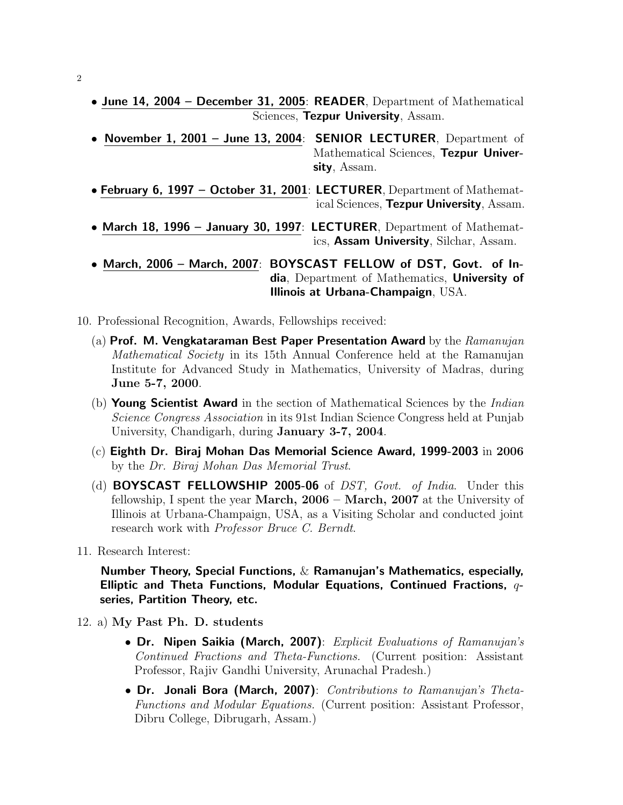- June 14, 2004 December 31, 2005: READER, Department of Mathematical Sciences, Tezpur University, Assam.
- November 1, 2001 June 13, 2004: SENIOR LECTURER, Department of Mathematical Sciences, Tezpur University, Assam.
- February 6, 1997 October 31, 2001: LECTURER, Department of Mathematical Sciences, Tezpur University, Assam.
- March 18, 1996 January 30, 1997: LECTURER, Department of Mathematics, Assam University, Silchar, Assam.
- March, 2006 March, 2007: BOYSCAST FELLOW of DST, Govt. of India, Department of Mathematics, University of Illinois at Urbana-Champaign, USA.
- 10. Professional Recognition, Awards, Fellowships received:
	- (a) Prof. M. Vengkataraman Best Paper Presentation Award by the  $Ramanujan$ Mathematical Society in its 15th Annual Conference held at the Ramanujan Institute for Advanced Study in Mathematics, University of Madras, during June 5-7, 2000.
	- (b) Young Scientist Award in the section of Mathematical Sciences by the *Indian* Science Congress Association in its 91st Indian Science Congress held at Punjab University, Chandigarh, during January 3-7, 2004.
	- $(c)$  Eighth Dr. Biraj Mohan Das Memorial Science Award, 1999-2003 in 2006 by the Dr. Biraj Mohan Das Memorial Trust.
	- (d) **BOYSCAST FELLOWSHIP 2005-06** of *DST*, Govt. of India. Under this fellowship, I spent the year March, 2006 – March, 2007 at the University of Illinois at Urbana-Champaign, USA, as a Visiting Scholar and conducted joint research work with Professor Bruce C. Berndt.
- 11. Research Interest:

Number Theory, Special Functions, & Ramanujan's Mathematics, especially, Elliptic and Theta Functions, Modular Equations, Continued Fractions,  $q$ series, Partition Theory, etc.

- 12. a) My Past Ph. D. students
	- Dr. Nipen Saikia (March, 2007): Explicit Evaluations of Ramanujan's Continued Fractions and Theta-Functions. (Current position: Assistant Professor, Rajiv Gandhi University, Arunachal Pradesh.)
	- Dr. Jonali Bora (March, 2007): Contributions to Ramanujan's Theta-Functions and Modular Equations. (Current position: Assistant Professor, Dibru College, Dibrugarh, Assam.)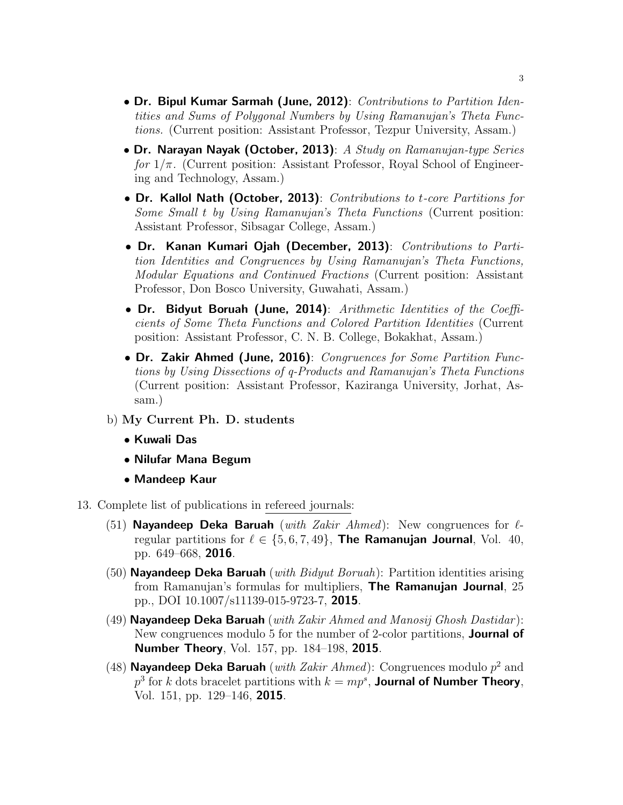- Dr. Bipul Kumar Sarmah (June, 2012): Contributions to Partition Identities and Sums of Polygonal Numbers by Using Ramanujan's Theta Functions. (Current position: Assistant Professor, Tezpur University, Assam.)
- Dr. Narayan Nayak (October, 2013): A Study on Ramanujan-type Series for  $1/\pi$ . (Current position: Assistant Professor, Royal School of Engineering and Technology, Assam.)
- Dr. Kallol Nath (October, 2013): Contributions to t-core Partitions for Some Small t by Using Ramanujan's Theta Functions (Current position: Assistant Professor, Sibsagar College, Assam.)
- Dr. Kanan Kumari Ojah (December, 2013): Contributions to Partition Identities and Congruences by Using Ramanujan's Theta Functions, Modular Equations and Continued Fractions (Current position: Assistant Professor, Don Bosco University, Guwahati, Assam.)
- Dr. Bidyut Boruah (June, 2014): Arithmetic Identities of the Coefficients of Some Theta Functions and Colored Partition Identities (Current position: Assistant Professor, C. N. B. College, Bokakhat, Assam.)
- Dr. Zakir Ahmed (June, 2016): Congruences for Some Partition Functions by Using Dissections of q-Products and Ramanujan's Theta Functions (Current position: Assistant Professor, Kaziranga University, Jorhat, Assam.)
- b) My Current Ph. D. students
	- Kuwali Das
	- Nilufar Mana Begum
	- Mandeep Kaur
- 13. Complete list of publications in refereed journals:
	- (51) Nayandeep Deka Baruah (with Zakir Ahmed): New congruences for  $\ell$ regular partitions for  $\ell \in \{5, 6, 7, 49\}$ , The Ramanujan Journal, Vol. 40, pp. 649–668, 2016.
	- (50) **Nayandeep Deka Baruah** (*with Bidyut Boruah*): Partition identities arising from Ramanujan's formulas for multipliers, The Ramanujan Journal, 25 pp., DOI 10.1007/s11139-015-9723-7, 2015.
	- (49) Nayandeep Deka Baruah (with Zakir Ahmed and Manosij Ghosh Dastidar): New congruences modulo 5 for the number of 2-color partitions, **Journal of** Number Theory, Vol. 157, pp. 184–198, 2015.
	- (48) Nayandeep Deka Baruah (with Zakir Ahmed): Congruences modulo  $p^2$  and  $p^3$  for k dots bracelet partitions with  $k = mp^s$ , **Journal of Number Theory**, Vol. 151, pp. 129–146, 2015.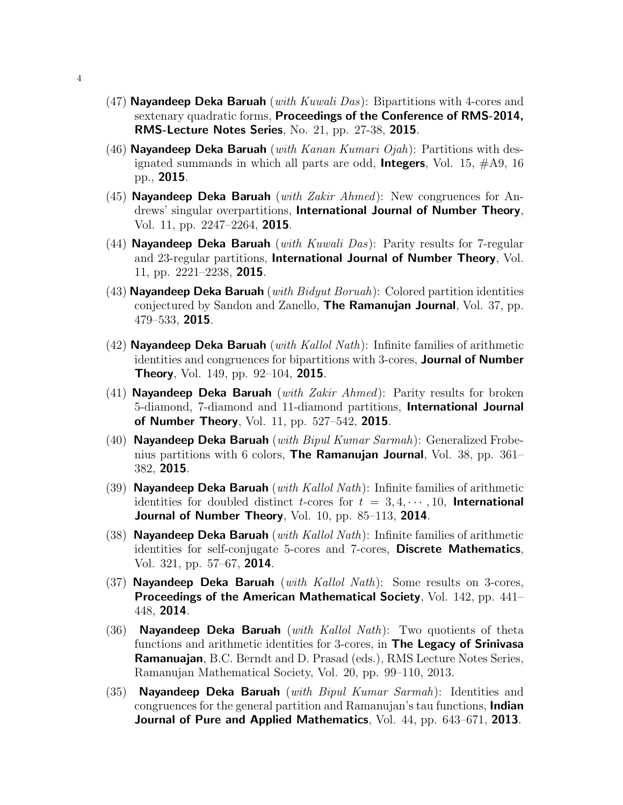- (47) Nayandeep Deka Baruah (*with Kuwali Das*): Bipartitions with 4-cores and sextenary quadratic forms, Proceedings of the Conference of RMS-2014, RMS-Lecture Notes Series, No. 21, pp. 27-38, 2015.
- (46) **Nayandeep Deka Baruah** (with Kanan Kumari Ojah): Partitions with designated summands in which all parts are odd, **Integers**, Vol. 15,  $\#A9$ , 16 pp., 2015.
- (45) **Nayandeep Deka Baruah** (with Zakir Ahmed): New congruences for Andrews' singular overpartitions, International Journal of Number Theory, Vol. 11, pp. 2247–2264, 2015.
- (44) **Nayandeep Deka Baruah** (with Kuwali Das): Parity results for 7-regular and 23-regular partitions, International Journal of Number Theory, Vol. 11, pp. 2221–2238, 2015.
- $(43)$  Nayandeep Deka Baruah (*with Bidyut Boruah*): Colored partition identities conjectured by Sandon and Zanello, The Ramanujan Journal, Vol. 37, pp. 479–533, 2015.
- (42) Nayandeep Deka Baruah (with Kallol Nath): Infinite families of arithmetic identities and congruences for bipartitions with 3-cores, **Journal of Number Theory**, Vol. 149, pp. 92–104, **2015**.
- (41) **Nayandeep Deka Baruah** (with Zakir Ahmed): Parity results for broken 5-diamond, 7-diamond and 11-diamond partitions, International Journal of Number Theory, Vol. 11, pp. 527–542, 2015.
- (40) **Nayandeep Deka Baruah** (*with Bipul Kumar Sarmah*): Generalized Frobenius partitions with 6 colors, The Ramanujan Journal, Vol. 38, pp. 361– 382, 2015.
- (39) Nayandeep Deka Baruah (with Kallol Nath): Infinite families of arithmetic identities for doubled distinct *t*-cores for  $t = 3, 4, \cdots, 10$ , **International** Journal of Number Theory, Vol. 10, pp. 85–113, 2014.
- (38) Nayandeep Deka Baruah (*with Kallol Nath*): Infinite families of arithmetic identities for self-conjugate 5-cores and 7-cores, Discrete Mathematics, Vol. 321, pp. 57–67, 2014.
- (37) Nayandeep Deka Baruah (with Kallol Nath): Some results on 3-cores, **Proceedings of the American Mathematical Society, Vol. 142, pp. 441–** 448, 2014.
- (36) Nayandeep Deka Baruah (*with Kallol Nath*): Two quotients of theta functions and arithmetic identities for 3-cores, in **The Legacy of Srinivasa** Ramanuajan, B.C. Berndt and D. Prasad (eds.), RMS Lecture Notes Series, Ramanujan Mathematical Society, Vol. 20, pp. 99–110, 2013.
- (35) Nayandeep Deka Baruah (with  $Bipul Kumar~Sarmah$ ): Identities and congruences for the general partition and Ramanujan's tau functions, **Indian** Journal of Pure and Applied Mathematics, Vol. 44, pp. 643–671, 2013.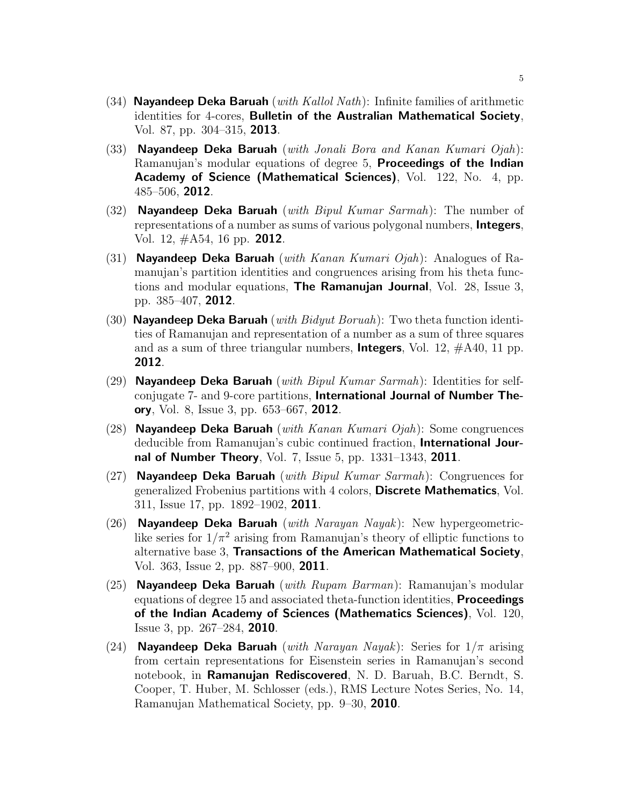- (34) Nayandeep Deka Baruah (*with Kallol Nath*): Infinite families of arithmetic identities for 4-cores, Bulletin of the Australian Mathematical Society, Vol. 87, pp. 304–315, 2013.
- (33) Nayandeep Deka Baruah (with Jonali Bora and Kanan Kumari  $O(1)$ : Ramanujan's modular equations of degree 5, Proceedings of the Indian Academy of Science (Mathematical Sciences), Vol. 122, No. 4, pp. 485–506, 2012.
- (32) Nayandeep Deka Baruah (*with Bipul Kumar Sarmah*): The number of representations of a number as sums of various polygonal numbers, Integers, Vol. 12, #A54, 16 pp. 2012.
- (31) Nayandeep Deka Baruah (with Kanan Kumari Ojah): Analogues of Ramanujan's partition identities and congruences arising from his theta functions and modular equations, **The Ramanujan Journal**, Vol. 28, Issue 3, pp. 385–407, 2012.
- (30) Nayandeep Deka Baruah (*with Bidyut Boruah*): Two theta function identities of Ramanujan and representation of a number as a sum of three squares and as a sum of three triangular numbers, **Integers**, Vol. 12,  $\#A40$ , 11 pp. 2012.
- (29) Nayandeep Deka Baruah (with  $Bipul Kumar \, Sarmah$ ): Identities for selfconjugate 7- and 9-core partitions, International Journal of Number Theory, Vol. 8, Issue 3, pp. 653–667, 2012.
- (28) **Nayandeep Deka Baruah** (*with Kanan Kumari Ojah*): Some congruences deducible from Ramanujan's cubic continued fraction, International Journal of Number Theory, Vol. 7, Issue 5, pp. 1331–1343, 2011.
- (27) Nayandeep Deka Baruah (with Bipul Kumar Sarmah): Congruences for generalized Frobenius partitions with 4 colors, Discrete Mathematics, Vol. 311, Issue 17, pp. 1892–1902, 2011.
- (26) Nayandeep Deka Baruah (with Narayan Nayak): New hypergeometriclike series for  $1/\pi^2$  arising from Ramanujan's theory of elliptic functions to alternative base 3, Transactions of the American Mathematical Society, Vol. 363, Issue 2, pp. 887–900, 2011.
- (25) **Nayandeep Deka Baruah** (*with Rupam Barman*): Ramanujan's modular equations of degree 15 and associated theta-function identities, Proceedings of the Indian Academy of Sciences (Mathematics Sciences), Vol. 120, Issue 3, pp. 267–284, 2010.
- (24) **Nayandeep Deka Baruah** (with Narayan Nayak): Series for  $1/\pi$  arising from certain representations for Eisenstein series in Ramanujan's second notebook, in Ramanujan Rediscovered, N. D. Baruah, B.C. Berndt, S. Cooper, T. Huber, M. Schlosser (eds.), RMS Lecture Notes Series, No. 14, Ramanujan Mathematical Society, pp. 9–30, 2010.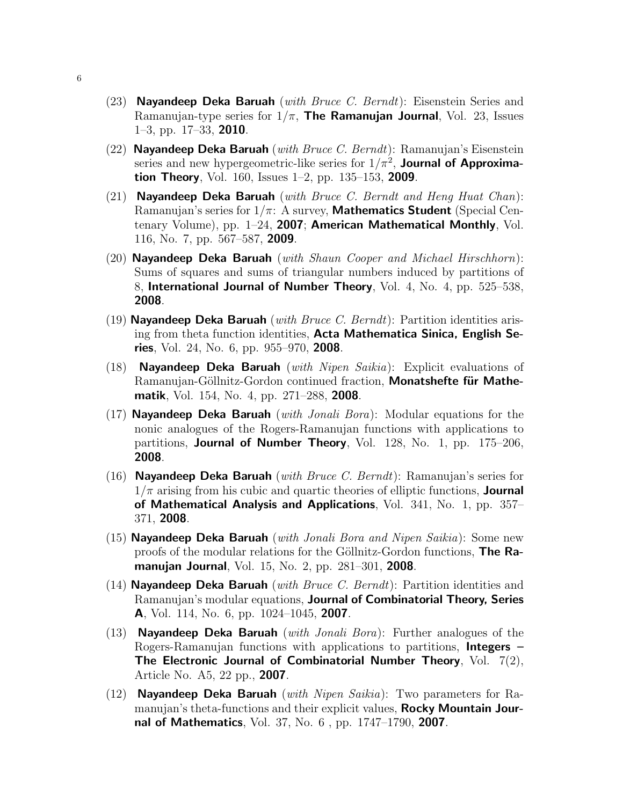- (23) Nayandeep Deka Baruah (with Bruce C. Berndt): Eisenstein Series and Ramanujan-type series for  $1/\pi$ , The Ramanujan Journal, Vol. 23, Issues 1–3, pp. 17–33, 2010.
- (22) Nayandeep Deka Baruah (*with Bruce C. Berndt*): Ramanujan's Eisenstein series and new hypergeometric-like series for  $1/\pi^2$ , **Journal of Approximation Theory,** Vol. 160, Issues  $1-2$ , pp. 135–153, **2009**.
- (21) Nayandeep Deka Baruah (with Bruce C. Berndt and Heng Huat Chan): Ramanujan's series for  $1/\pi$ : A survey, **Mathematics Student** (Special Centenary Volume), pp. 1–24, 2007; American Mathematical Monthly, Vol. 116, No. 7, pp. 567–587, 2009.
- (20) **Nayandeep Deka Baruah** (with Shaun Cooper and Michael Hirschhorn): Sums of squares and sums of triangular numbers induced by partitions of 8, International Journal of Number Theory, Vol. 4, No. 4, pp.  $525-538$ , 2008.
- (19) Nayandeep Deka Baruah (with Bruce C. Berndt): Partition identities arising from theta function identities, Acta Mathematica Sinica, English Series, Vol. 24, No. 6, pp. 955–970, 2008.
- (18) **Nayandeep Deka Baruah** (with Nipen Saikia): Explicit evaluations of Ramanujan-Göllnitz-Gordon continued fraction, Monatshefte für Mathematik, Vol. 154, No. 4, pp. 271–288, 2008.
- (17) Nayandeep Deka Baruah (with Jonali Bora): Modular equations for the nonic analogues of the Rogers-Ramanujan functions with applications to partitions, Journal of Number Theory, Vol. 128, No. 1, pp. 175–206, 2008.
- (16) Nayandeep Deka Baruah (with Bruce C. Berndt): Ramanujan's series for  $1/\pi$  arising from his cubic and quartic theories of elliptic functions, **Journal** of Mathematical Analysis and Applications, Vol.  $341$ , No. 1, pp.  $357-$ 371, 2008.
- (15) **Nayandeep Deka Baruah** (*with Jonali Bora and Nipen Saikia*): Some new proofs of the modular relations for the Göllnitz-Gordon functions, **The Ra**manujan Journal, Vol. 15, No. 2, pp. 281–301, 2008.
- (14) Nayandeep Deka Baruah (*with Bruce C. Berndt*): Partition identities and Ramanujan's modular equations, Journal of Combinatorial Theory, Series A, Vol. 114, No. 6, pp. 1024–1045, 2007.
- (13) Nayandeep Deka Baruah (*with Jonali Bora*): Further analogues of the Rogers-Ramanujan functions with applications to partitions, **Integers** – The Electronic Journal of Combinatorial Number Theory, Vol.  $7(2)$ , Article No. A5, 22 pp., 2007.
- (12) Nayandeep Deka Baruah (*with Nipen Saikia*): Two parameters for Ramanujan's theta-functions and their explicit values, Rocky Mountain Journal of Mathematics, Vol. 37, No. 6 , pp. 1747–1790, 2007.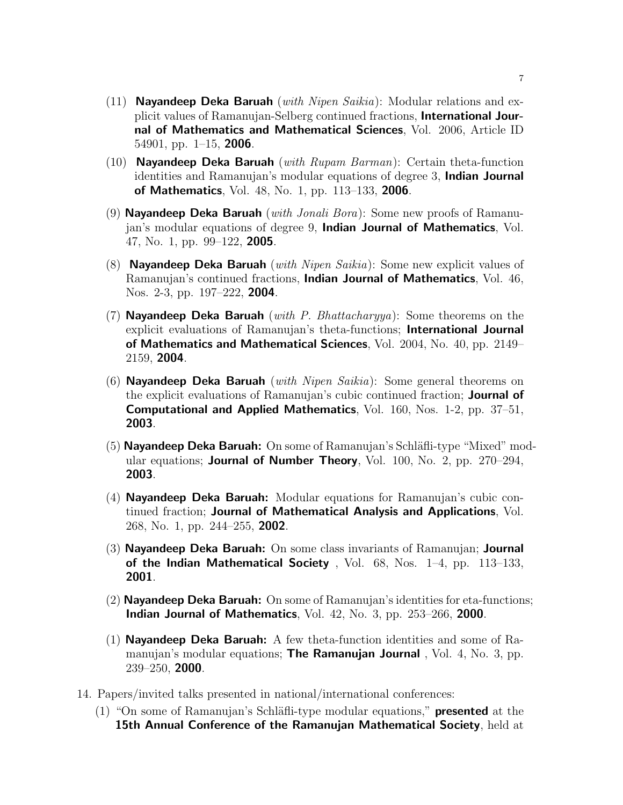- (11) **Nayandeep Deka Baruah** (*with Nipen Saikia*): Modular relations and explicit values of Ramanujan-Selberg continued fractions, International Journal of Mathematics and Mathematical Sciences, Vol. 2006, Article ID 54901, pp.  $1-15$ , **2006**.
- (10) **Nayandeep Deka Baruah** (with Rupam Barman): Certain theta-function identities and Ramanujan's modular equations of degree 3, Indian Journal of Mathematics, Vol. 48, No. 1, pp. 113–133, 2006.
- (9) **Nayandeep Deka Baruah** (*with Jonali Bora*): Some new proofs of Ramanujan's modular equations of degree 9, Indian Journal of Mathematics, Vol. 47, No. 1, pp. 99–122, 2005.
- (8) Nayandeep Deka Baruah (with Nipen Saikia): Some new explicit values of Ramanujan's continued fractions, Indian Journal of Mathematics, Vol. 46, Nos. 2-3, pp. 197–222, 2004.
- (7) Nayandeep Deka Baruah (with P. Bhattachary ya): Some theorems on the explicit evaluations of Ramanujan's theta-functions; International Journal of Mathematics and Mathematical Sciences, Vol. 2004, No. 40, pp. 2149– 2159, 2004.
- (6) **Nayandeep Deka Baruah** (with Nipen Saikia): Some general theorems on the explicit evaluations of Ramanujan's cubic continued fraction; **Journal of** Computational and Applied Mathematics, Vol. 160, Nos. 1-2, pp. 37–51, 2003.
- $(5)$  Nayandeep Deka Baruah: On some of Ramanujan's Schläfli-type "Mixed" modular equations; **Journal of Number Theory**, Vol. 100, No. 2, pp.  $270-294$ , 2003.
- (4) Nayandeep Deka Baruah: Modular equations for Ramanujan's cubic continued fraction; Journal of Mathematical Analysis and Applications, Vol. 268, No. 1, pp. 244–255, 2002.
- (3) Nayandeep Deka Baruah: On some class invariants of Ramanujan; Journal of the Indian Mathematical Society, Vol.  $68$ , Nos.  $1-4$ , pp.  $113-133$ , 2001.
- (2) Nayandeep Deka Baruah: On some of Ramanujan's identities for eta-functions; Indian Journal of Mathematics, Vol. 42, No. 3, pp. 253–266, 2000.
- (1) **Nayandeep Deka Baruah:** A few theta-function identities and some of Ramanujan's modular equations; **The Ramanujan Journal**, Vol. 4, No. 3, pp. 239–250, 2000.
- 14. Papers/invited talks presented in national/international conferences:
	- (1) "On some of Ramanujan's Schläfli-type modular equations," **presented** at the **15th Annual Conference of the Ramanujan Mathematical Society, held at**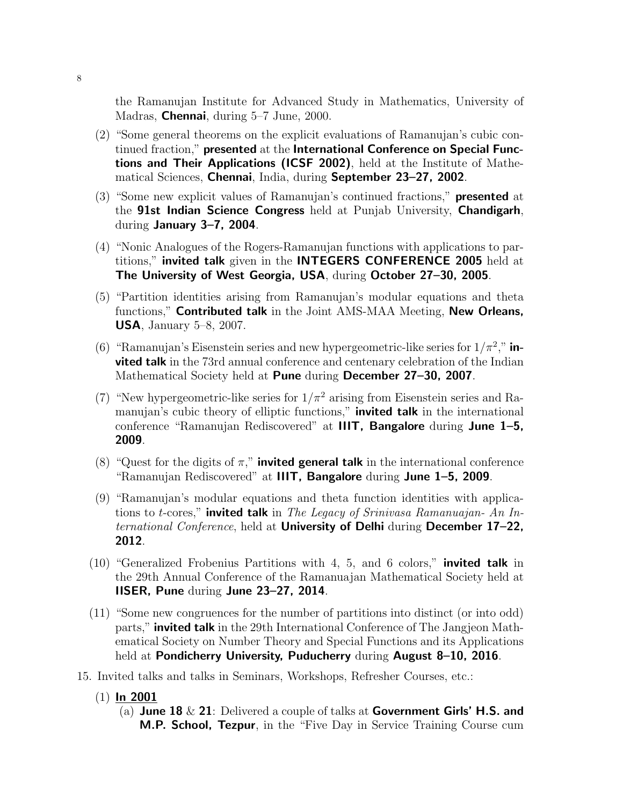the Ramanujan Institute for Advanced Study in Mathematics, University of Madras, **Chennai**, during 5–7 June, 2000.

- (2) "Some general theorems on the explicit evaluations of Ramanujan's cubic continued fraction," presented at the International Conference on Special Functions and Their Applications (ICSF 2002), held at the Institute of Mathematical Sciences, Chennai, India, during September 23–27, 2002.
- (3) "Some new explicit values of Ramanujan's continued fractions," presented at the 91st Indian Science Congress held at Punjab University, Chandigarh, during January 3–7, 2004.
- (4) "Nonic Analogues of the Rogers-Ramanujan functions with applications to partitions," invited talk given in the INTEGERS CONFERENCE 2005 held at The University of West Georgia, USA, during October 27–30, 2005.
- (5) "Partition identities arising from Ramanujan's modular equations and theta functions," Contributed talk in the Joint AMS-MAA Meeting, New Orleans, USA, January 5–8, 2007.
- (6) "Ramanujan's Eisenstein series and new hypergeometric-like series for  $1/\pi^2$ ," invited talk in the 73rd annual conference and centenary celebration of the Indian Mathematical Society held at Pune during December 27–30, 2007.
- (7) "New hypergeometric-like series for  $1/\pi^2$  arising from Eisenstein series and Ramanujan's cubic theory of elliptic functions," **invited talk** in the international conference "Ramanujan Rediscovered" at IIIT, Bangalore during June 1–5, 2009.
- (8) "Quest for the digits of  $\pi$ ," **invited general talk** in the international conference "Ramanujan Rediscovered" at IIIT, Bangalore during June 1–5, 2009.
- (9) "Ramanujan's modular equations and theta function identities with applications to t-cores," **invited talk** in The Legacy of Srinivasa Ramanuajan- An International Conference, held at University of Delhi during December 17–22, 2012.
- $(10)$  "Generalized Frobenius Partitions with 4, 5, and 6 colors," **invited talk** in the 29th Annual Conference of the Ramanuajan Mathematical Society held at IISER, Pune during June 23–27, 2014.
- (11) "Some new congruences for the number of partitions into distinct (or into odd) parts," invited talk in the 29th International Conference of The Jangjeon Mathematical Society on Number Theory and Special Functions and its Applications held at Pondicherry University, Puducherry during August 8–10, 2016.
- 15. Invited talks and talks in Seminars, Workshops, Refresher Courses, etc.:
	- $(1)$  In 2001
		- (a) June 18  $\&$  21: Delivered a couple of talks at Government Girls' H.S. and M.P. School, Tezpur, in the "Five Day in Service Training Course cum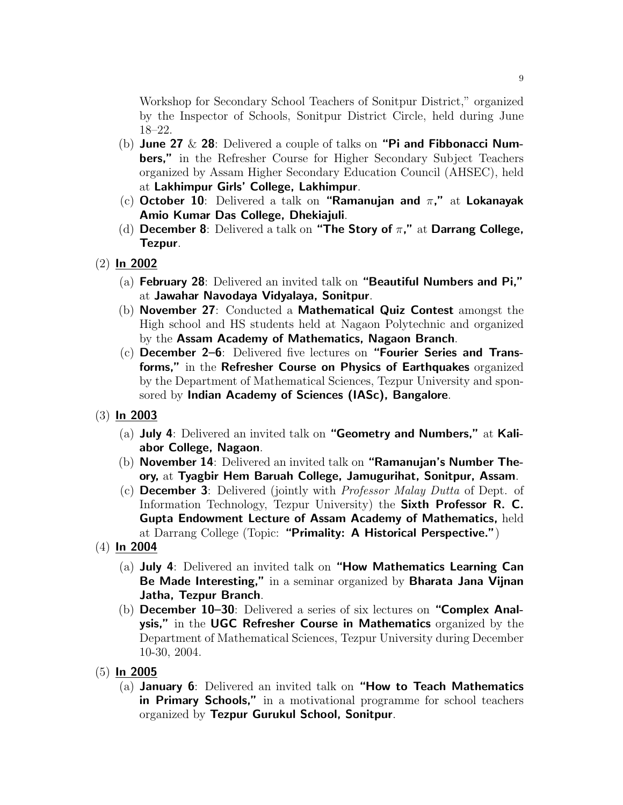Workshop for Secondary School Teachers of Sonitpur District," organized by the Inspector of Schools, Sonitpur District Circle, held during June 18–22.

- (b) June 27  $\&$  28: Delivered a couple of talks on "Pi and Fibbonacci Numbers," in the Refresher Course for Higher Secondary Subject Teachers organized by Assam Higher Secondary Education Council (AHSEC), held at Lakhimpur Girls' College, Lakhimpur.
- (c) October 10: Delivered a talk on "Ramanujan and  $\pi$ ," at Lokanayak Amio Kumar Das College, Dhekiajuli.
- (d) December 8: Delivered a talk on "The Story of  $\pi$ ," at Darrang College, Tezpur.
- (2) In 2002
	- (a) February 28: Delivered an invited talk on "Beautiful Numbers and Pi," at Jawahar Navodaya Vidyalaya, Sonitpur.
	- (b) November 27: Conducted a Mathematical Quiz Contest amongst the High school and HS students held at Nagaon Polytechnic and organized by the Assam Academy of Mathematics, Nagaon Branch.
	- $(c)$  December 2–6: Delivered five lectures on "Fourier Series and Transforms," in the Refresher Course on Physics of Earthquakes organized by the Department of Mathematical Sciences, Tezpur University and sponsored by Indian Academy of Sciences (IASc), Bangalore.
- (3) In 2003
	- (a) July 4: Delivered an invited talk on "Geometry and Numbers," at Kaliabor College, Nagaon.
	- (b) November 14: Delivered an invited talk on "Ramanujan's Number Theory, at Tyagbir Hem Baruah College, Jamugurihat, Sonitpur, Assam.
	- (c) **December 3**: Delivered (jointly with *Professor Malay Dutta* of Dept. of Information Technology, Tezpur University) the Sixth Professor R. C. Gupta Endowment Lecture of Assam Academy of Mathematics, held at Darrang College (Topic: "Primality: A Historical Perspective.")
- $(4)$  In 2004
	- (a) July 4: Delivered an invited talk on "How Mathematics Learning Can Be Made Interesting," in a seminar organized by Bharata Jana Vijnan Jatha, Tezpur Branch.
	- (b) December 10–30: Delivered a series of six lectures on "Complex Analysis," in the UGC Refresher Course in Mathematics organized by the Department of Mathematical Sciences, Tezpur University during December 10-30, 2004.
- (5) In 2005
	- (a) January 6: Delivered an invited talk on "How to Teach Mathematics in Primary Schools," in a motivational programme for school teachers organized by Tezpur Gurukul School, Sonitpur.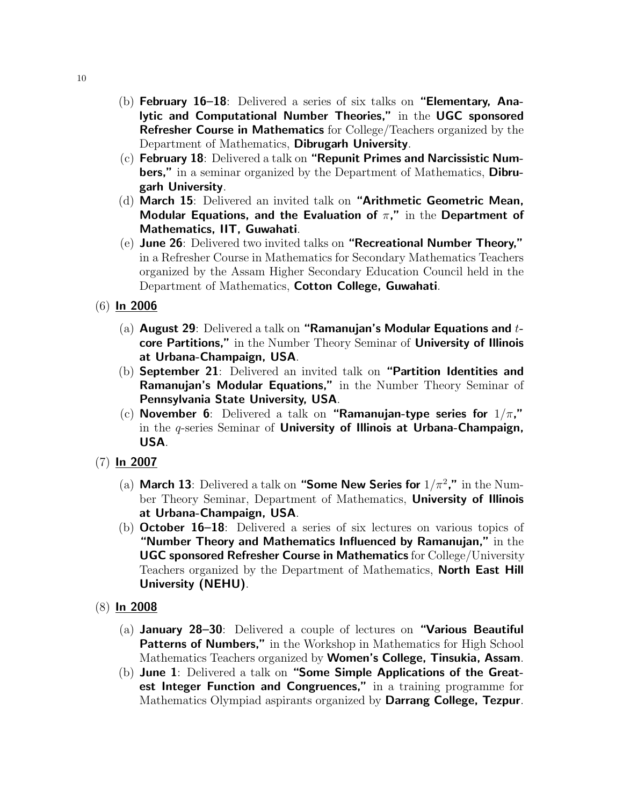- (b) February 16–18: Delivered a series of six talks on "Elementary, Analytic and Computational Number Theories," in the UGC sponsored Refresher Course in Mathematics for College/Teachers organized by the Department of Mathematics, Dibrugarh University.
- (c) February 18: Delivered a talk on "Repunit Primes and Narcissistic Numbers," in a seminar organized by the Department of Mathematics, Dibrugarh University.
- (d) March 15: Delivered an invited talk on "Arithmetic Geometric Mean, Modular Equations, and the Evaluation of  $\pi$ ," in the Department of Mathematics, IIT, Guwahati.
- (e) June 26: Delivered two invited talks on "Recreational Number Theory," in a Refresher Course in Mathematics for Secondary Mathematics Teachers organized by the Assam Higher Secondary Education Council held in the Department of Mathematics, Cotton College, Guwahati.
- (6) In 2006
	- (a) August 29: Delivered a talk on "Ramanujan's Modular Equations and  $t$ core Partitions," in the Number Theory Seminar of University of Illinois at Urbana-Champaign, USA.
	- (b) September 21: Delivered an invited talk on "Partition Identities and Ramanujan's Modular Equations," in the Number Theory Seminar of Pennsylvania State University, USA.
	- (c) November 6: Delivered a talk on "Ramanujan-type series for  $1/\pi$ ," in the  $q$ -series Seminar of University of Illinois at Urbana-Champaign, USA.
- (7) In 2007
	- (a) March 13: Delivered a talk on "Some New Series for  $1/\pi^2$ ," in the Number Theory Seminar, Department of Mathematics, **University of Illinois** at Urbana-Champaign, USA.
	- (b) October 16–18: Delivered a series of six lectures on various topics of "Number Theory and Mathematics Influenced by Ramanujan," in the UGC sponsored Refresher Course in Mathematics for College/University Teachers organized by the Department of Mathematics, North East Hill University (NEHU).
- (8) In 2008
	- (a) January 28–30: Delivered a couple of lectures on "Various Beautiful Patterns of Numbers," in the Workshop in Mathematics for High School Mathematics Teachers organized by Women's College, Tinsukia, Assam.
	- (b) June 1: Delivered a talk on "Some Simple Applications of the Greatest Integer Function and Congruences," in a training programme for Mathematics Olympiad aspirants organized by Darrang College, Tezpur.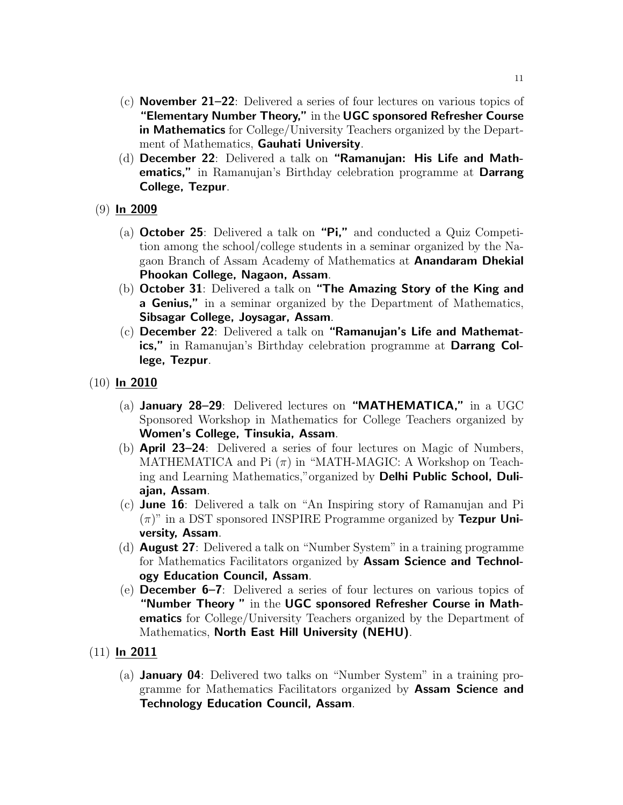- (c) November 21–22: Delivered a series of four lectures on various topics of "Elementary Number Theory," in the UGC sponsored Refresher Course in Mathematics for College/University Teachers organized by the Department of Mathematics, Gauhati University.
- (d) December 22: Delivered a talk on "Ramanujan: His Life and Mathematics," in Ramanujan's Birthday celebration programme at Darrang College, Tezpur.
- (9) In 2009
	- (a) October 25: Delivered a talk on "Pi," and conducted a Quiz Competition among the school/college students in a seminar organized by the Nagaon Branch of Assam Academy of Mathematics at Anandaram Dhekial Phookan College, Nagaon, Assam.
	- (b) October 31: Delivered a talk on "The Amazing Story of the King and **a Genius,"** in a seminar organized by the Department of Mathematics, Sibsagar College, Joysagar, Assam.
	- (c) December 22: Delivered a talk on "Ramanujan's Life and Mathematics," in Ramanujan's Birthday celebration programme at Darrang College, Tezpur.
- $(10)$  In 2010
	- (a) **January 28–29**: Delivered lectures on "**MATHEMATICA**," in a UGC Sponsored Workshop in Mathematics for College Teachers organized by Women's College, Tinsukia, Assam.
	- (b) April 23–24: Delivered a series of four lectures on Magic of Numbers, MATHEMATICA and Pi  $(\pi)$  in "MATH-MAGIC: A Workshop on Teaching and Learning Mathematics,"organized by Delhi Public School, Duliajan, Assam.
	- (c) **June 16**: Delivered a talk on "An Inspiring story of Ramanujan and Pi  $(\pi)$ " in a DST sponsored INSPIRE Programme organized by Tezpur University, Assam.
	- (d) August 27: Delivered a talk on "Number System" in a training programme for Mathematics Facilitators organized by Assam Science and Technology Education Council, Assam.
	- (e) December 6–7: Delivered a series of four lectures on various topics of "Number Theory " in the UGC sponsored Refresher Course in Mathematics for College/University Teachers organized by the Department of Mathematics, North East Hill University (NEHU).
- $(11)$  In 2011
	- (a) January 04: Delivered two talks on "Number System" in a training programme for Mathematics Facilitators organized by Assam Science and Technology Education Council, Assam.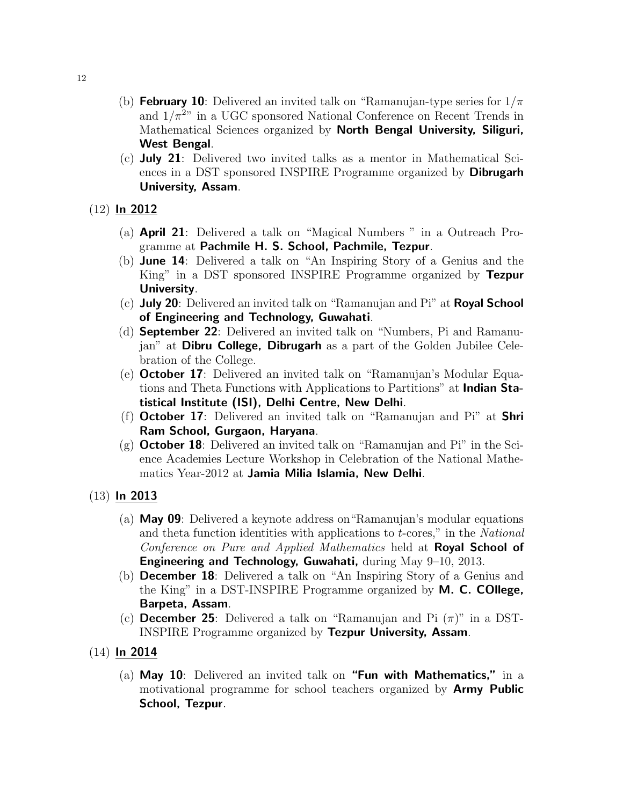- (b) **February 10**: Delivered an invited talk on "Ramanujan-type series for  $1/\pi$ and  $1/\pi^{2n}$  in a UGC sponsored National Conference on Recent Trends in Mathematical Sciences organized by North Bengal University, Siliguri, West Bengal.
- (c) July 21: Delivered two invited talks as a mentor in Mathematical Sciences in a DST sponsored INSPIRE Programme organized by **Dibrugarh** University, Assam.

## (12) In 2012

- (a) April 21: Delivered a talk on "Magical Numbers " in a Outreach Programme at Pachmile H. S. School, Pachmile, Tezpur.
- (b) June 14: Delivered a talk on "An Inspiring Story of a Genius and the King" in a DST sponsored INSPIRE Programme organized by Tezpur University.
- $(c)$  July 20: Delivered an invited talk on "Ramanujan and Pi" at Royal School of Engineering and Technology, Guwahati.
- (d) September 22: Delivered an invited talk on "Numbers, Pi and Ramanujan" at **Dibru College, Dibrugarh** as a part of the Golden Jubilee Celebration of the College.
- (e) October 17: Delivered an invited talk on "Ramanujan's Modular Equations and Theta Functions with Applications to Partitions" at **Indian Sta**tistical Institute (ISI), Delhi Centre, New Delhi.
- (f) **October 17**: Delivered an invited talk on "Ramanujan and Pi" at **Shri** Ram School, Gurgaon, Haryana.
- (g) **October 18**: Delivered an invited talk on "Ramanujan and Pi" in the Science Academies Lecture Workshop in Celebration of the National Mathematics Year-2012 at Jamia Milia Islamia, New Delhi.

#### $(13)$  In 2013

- (a) May 09: Delivered a keynote address on"Ramanujan's modular equations and theta function identities with applications to t-cores," in the National Conference on Pure and Applied Mathematics held at **Royal School of** Engineering and Technology, Guwahati, during May 9–10, 2013.
- (b) December 18: Delivered a talk on "An Inspiring Story of a Genius and the King" in a DST-INSPIRE Programme organized by M. C. COllege, Barpeta, Assam.
- (c) **December 25**: Delivered a talk on "Ramanujan and Pi  $(\pi)$ " in a DST-INSPIRE Programme organized by Tezpur University, Assam.
- $(14)$  In 2014
	- (a) May 10: Delivered an invited talk on "Fun with Mathematics," in a motivational programme for school teachers organized by Army Public School, Tezpur.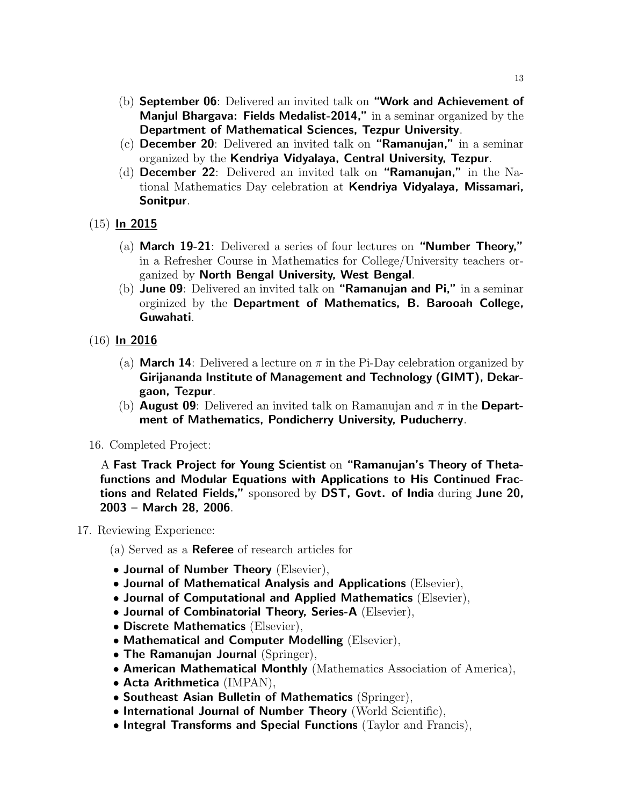- (b) September 06: Delivered an invited talk on "Work and Achievement of Manjul Bhargava: Fields Medalist-2014," in a seminar organized by the Department of Mathematical Sciences, Tezpur University.
- (c) December 20: Delivered an invited talk on "Ramanujan," in a seminar organized by the Kendriya Vidyalaya, Central University, Tezpur.
- (d) December 22: Delivered an invited talk on "Ramanujan," in the National Mathematics Day celebration at Kendriya Vidyalaya, Missamari, Sonitpur.
- $(15)$  In 2015
	- (a) March 19-21: Delivered a series of four lectures on "Number Theory," in a Refresher Course in Mathematics for College/University teachers organized by North Bengal University, West Bengal.
	- (b) June 09: Delivered an invited talk on "Ramanujan and Pi," in a seminar orginized by the Department of Mathematics, B. Barooah College, Guwahati.
- (16) In 2016
	- (a) **March 14**: Delivered a lecture on  $\pi$  in the Pi-Day celebration organized by Girijananda Institute of Management and Technology (GIMT), Dekargaon, Tezpur.
	- (b) **August 09**: Delivered an invited talk on Ramanujan and  $\pi$  in the **Depart**ment of Mathematics, Pondicherry University, Puducherry.
- 16. Completed Project:

A Fast Track Project for Young Scientist on "Ramanujan's Theory of Thetafunctions and Modular Equations with Applications to His Continued Fractions and Related Fields," sponsored by DST, Govt. of India during June 20, 2003 – March 28, 2006.

#### 17. Reviewing Experience:

- (a) Served as a Referee of research articles for
- Journal of Number Theory (Elsevier),
- Journal of Mathematical Analysis and Applications (Elsevier),
- Journal of Computational and Applied Mathematics (Elsevier),
- Journal of Combinatorial Theory, Series-A (Elsevier),
- Discrete Mathematics (Elsevier),
- Mathematical and Computer Modelling (Elsevier),
- The Ramanujan Journal (Springer),
- American Mathematical Monthly (Mathematics Association of America),
- Acta Arithmetica (IMPAN),
- Southeast Asian Bulletin of Mathematics (Springer),
- International Journal of Number Theory (World Scientific),
- Integral Transforms and Special Functions (Taylor and Francis),